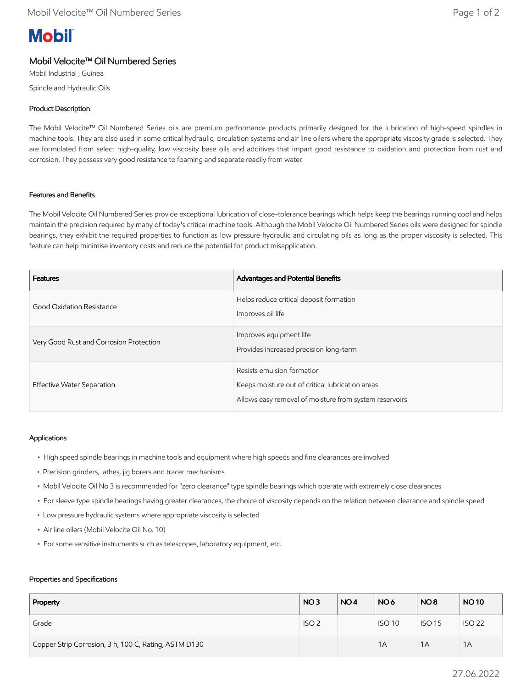# **Mobil**

# Mobil Velocite™ Oil Numbered Series

Mobil Industrial , Guinea Spindle and Hydraulic Oils

## Product Description

The Mobil Velocite™ Oil Numbered Series oils are premium performance products primarily designed for the lubrication of high-speed spindles in machine tools. They are also used in some critical hydraulic, circulation systems and air line oilers where the appropriate viscosity grade is selected. They are formulated from select high-quality, low viscosity base oils and additives that impart good resistance to oxidation and protection from rust and corrosion. They possess very good resistance to foaming and separate readily from water.

### Features and Benefits

The Mobil Velocite Oil Numbered Series provide exceptional lubrication of close-tolerance bearings which helps keep the bearings running cool and helps maintain the precision required by many of today's critical machine tools. Although the Mobil Velocite Oil Numbered Series oils were designed for spindle bearings, they exhibit the required properties to function as low pressure hydraulic and circulating oils as long as the proper viscosity is selected. This feature can help minimise inventory costs and reduce the potential for product misapplication.

| <b>Features</b>                         | Advantages and Potential Benefits                                                                                                        |
|-----------------------------------------|------------------------------------------------------------------------------------------------------------------------------------------|
| Good Oxidation Resistance               | Helps reduce critical deposit formation<br>Improves oil life                                                                             |
| Very Good Rust and Corrosion Protection | Improves equipment life<br>Provides increased precision long-term                                                                        |
| Effective Water Separation              | Resists emulsion formation<br>Keeps moisture out of critical lubrication areas<br>Allows easy removal of moisture from system reservoirs |

### Applications

- High speed spindle bearings in machine tools and equipment where high speeds and fine clearances are involved
- Precision grinders, lathes, jig borers and tracer mechanisms
- Mobil Velocite Oil No 3 is recommended for "zero clearance" type spindle bearings which operate with extremely close clearances
- For sleeve type spindle bearings having greater clearances, the choice of viscosity depends on the relation between clearance and spindle speed
- Low pressure hydraulic systems where appropriate viscosity is selected
- Air line oilers (Mobil Velocite Oil No. 10)
- For some sensitive instruments such as telescopes, laboratory equipment, etc.

#### Properties and Specifications

| Property                                              | NO <sub>3</sub>  | NO <sub>4</sub> | NO <sub>6</sub> | NO <sub>8</sub> | <b>NO10</b>   |
|-------------------------------------------------------|------------------|-----------------|-----------------|-----------------|---------------|
| Grade                                                 | ISO <sub>2</sub> |                 | <b>ISO 10</b>   | <b>ISO 15</b>   | <b>ISO 22</b> |
| Copper Strip Corrosion, 3 h, 100 C, Rating, ASTM D130 |                  |                 | 1A              | 1A              | 1A            |